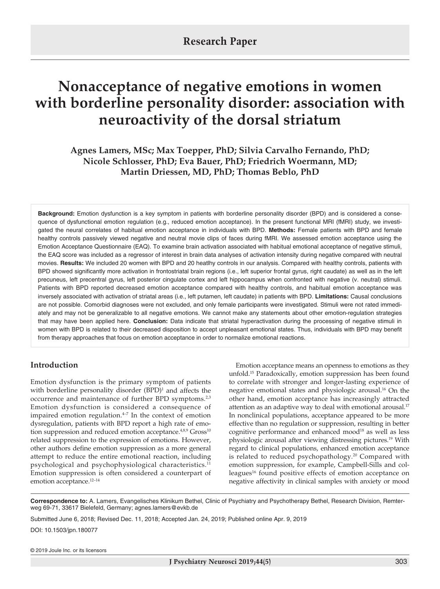# **Research Paper**

# **Nonacceptance of negative emotions in women with borderline personality disorder: association with neuroactivity of the dorsal striatum**

# **Agnes Lamers, MSc; Max Toepper, PhD; Silvia Carvalho Fernando, PhD; Nicole Schlosser, PhD; Eva Bauer, PhD; Friedrich Woermann, MD; Martin Driessen, MD, PhD; Thomas Beblo, PhD**

**Background:** Emotion dysfunction is a key symptom in patients with borderline personality disorder (BPD) and is considered a consequence of dysfunctional emotion regulation (e.g., reduced emotion acceptance). In the present functional MRI (fMRI) study, we investigated the neural correlates of habitual emotion acceptance in individuals with BPD. **Methods:** Female patients with BPD and female healthy controls passively viewed negative and neutral movie clips of faces during fMRI. We assessed emotion acceptance using the Emotion Acceptance Questionnaire (EAQ). To examine brain activation associated with habitual emotional acceptance of negative stimuli, the EAQ score was included as a regressor of interest in brain data analyses of activation intensity during negative compared with neutral movies. **Results:** We included 20 women with BPD and 20 heatlhy controls in our analysis. Compared with healthy controls, patients with BPD showed significantly more activation in frontostriatal brain regions (i.e., left superior frontal gyrus, right caudate) as well as in the left precuneus, left precentral gyrus, left posterior cingulate cortex and left hippocampus when confronted with negative (v. neutral) stimuli. Patients with BPD reported decreased emotion acceptance compared with healthy controls, and habitual emotion acceptance was inversely associated with activation of striatal areas (i.e., left putamen, left caudate) in patients with BPD. **Limitations:** Causal conclusions are not possible. Comorbid diagnoses were not excluded, and only female participants were investigated. Stimuli were not rated immediately and may not be generalizable to all negative emotions. We cannot make any statements about other emotion-regulation strategies that may have been applied here. **Conclusion:** Data indicate that striatal hyperactivation during the processing of negative stimuli in women with BPD is related to their decreased disposition to accept unpleasant emotional states. Thus, individuals with BPD may benefit from therapy approaches that focus on emotion acceptance in order to normalize emotional reactions.

# **Introduction**

Emotion dysfunction is the primary symptom of patients with borderline personality disorder  $(BPD)^1$  and affects the occurrence and maintenance of further BPD symptoms.<sup>2,3</sup> Emotion dysfunction is considered a consequence of impaired emotion regulation. $4-7$  In the context of emotion dysregulation, patients with BPD report a high rate of emotion suppression and reduced emotion acceptance.<sup>4,8,9</sup> Gross<sup>10</sup> related suppression to the expression of emotions. However, other authors define emotion suppression as a more general attempt to reduce the entire emotional reaction, including psychological and psychophysiological characteristics.11 Emotion suppression is often considered a counterpart of emotion acceptance.<sup>12-14</sup>

Emotion acceptance means an openness to emotions as they unfold.15 Paradoxically, emotion suppression has been found to correlate with stronger and longer-lasting experience of negative emotional states and physiologic arousal.16 On the other hand, emotion acceptance has increasingly attracted attention as an adaptive way to deal with emotional arousal.<sup>17</sup> In nonclinical populations, acceptance appeared to be more effective than no regulation or suppression, resulting in better cognitive performance and enhanced mood $18$  as well as less physiologic arousal after viewing distressing pictures.19 With regard to clinical populations, enhanced emotion acceptance is related to reduced psychopathology.20 Compared with emotion suppression, for example, Campbell-Sills and colleagues<sup>16</sup> found positive effects of emotion acceptance on negative affectivity in clinical samples with anxiety or mood

**Correspondence to:** A. Lamers, Evangelisches Klinikum Bethel, Clinic of Psychiatry and Psychotherapy Bethel, Research Division, Remterweg 69-71, 33617 Bielefeld, Germany; agnes.lamers@evkb.de

Submitted June 6, 2018; Revised Dec. 11, 2018; Accepted Jan. 24, 2019; Published online Apr. 9, 2019

DOI: 10.1503/jpn.180077

© 2019 Joule Inc. or its licensors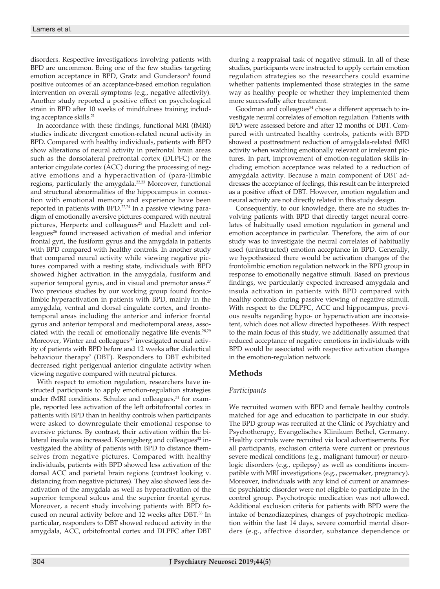disorders. Respective investigations involving patients with BPD are uncommon. Being one of the few studies targeting emotion acceptance in BPD, Gratz and Gunderson<sup>5</sup> found positive outcomes of an acceptance-based emotion regulation intervention on overall symptoms (e.g., negative affectivity). Another study reported a positive effect on psychological strain in BPD after 10 weeks of mindfulness training including acceptance skills.<sup>21</sup>

In accordance with these findings, functional MRI (fMRI) studies indicate divergent emotion-related neural activity in BPD. Compared with healthy individuals, patients with BPD show alterations of neural activity in prefrontal brain areas such as the dorsolateral prefrontal cortex (DLPFC) or the anterior cingulate cortex (ACC) during the processing of negative emotions and a hyperactivation of (para-)limbic regions, particularly the amygdala.<sup>22,23</sup> Moreover, functional and structural abnormalities of the hippocampus in connection with emotional memory and experience have been reported in patients with BPD.<sup>22,24</sup> In a passive viewing paradigm of emotionally aversive pictures compared with neutral pictures, Herpertz and colleagues<sup>25</sup> and Hazlett and colleagues<sup>26</sup> found increased activation of medial and inferior frontal gyri, the fusiform gyrus and the amygdala in patients with BPD compared with healthy controls. In another study that compared neural activity while viewing negative pictures compared with a resting state, individuals with BPD showed higher activation in the amygdala, fusiform and superior temporal gyrus, and in visual and premotor areas.<sup>27</sup> Two previous studies by our working group found frontolimbic hyperactivation in patients with BPD, mainly in the amygdala, ventral and dorsal cingulate cortex, and frontotemporal areas including the anterior and inferior frontal gyrus and anterior temporal and mediotemporal areas, associated with the recall of emotionally negative life events.<sup>28,29</sup> Moreover, Winter and colleagues<sup>30</sup> investigated neural activity of patients with BPD before and 12 weeks after dialectical behaviour therapy<sup>7</sup> (DBT). Responders to DBT exhibited decreased right perigenual anterior cingulate activity when viewing negative compared with neutral pictures.

With respect to emotion regulation, researchers have instructed participants to apply emotion-regulation strategies under fMRI conditions. Schulze and colleagues, $31$  for example, reported less activation of the left orbitofrontal cortex in patients with BPD than in healthy controls when participants were asked to downregulate their emotional response to aversive pictures. By contrast, their activation within the bilateral insula was increased. Koenigsberg and colleagues<sup>32</sup> investigated the ability of patients with BPD to distance themselves from negative pictures. Compared with healthy individuals, patients with BPD showed less activation of the dorsal ACC and parietal brain regions (contrast looking v. distancing from negative pictures). They also showed less deactivation of the amygdala as well as hyperactivation of the superior temporal sulcus and the superior frontal gyrus. Moreover, a recent study involving patients with BPD focused on neural activity before and 12 weeks after DBT.33 In particular, responders to DBT showed reduced activity in the amygdala, ACC, orbitofrontal cortex and DLPFC after DBT

during a reappraisal task of negative stimuli. In all of these studies, participants were instructed to apply certain emotion regulation strategies so the researchers could examine whether patients implemented those strategies in the same way as healthy people or whether they implemented them more successfully after treatment.

Goodman and colleagues<sup>34</sup> chose a different approach to investigate neural correlates of emotion regulation. Patients with BPD were assessed before and after 12 months of DBT. Compared with untreated healthy controls, patients with BPD showed a posttreatment reduction of amygdala-related fMRI activity when watching emotionally relevant or irrelevant pictures. In part, improvement of emotion-regulation skills including emotion acceptance was related to a reduction of amygdala activity. Because a main component of DBT addresses the acceptance of feelings, this result can be interpreted as a positive effect of DBT. However, emotion regulation and neural activity are not directly related in this study design.

Consequently, to our knowledge, there are no studies involving patients with BPD that directly target neural correlates of habitually used emotion regulation in general and emotion acceptance in particular. Therefore, the aim of our study was to investigate the neural correlates of habitually used (uninstructed) emotion acceptance in BPD. Generally, we hypothesized there would be activation changes of the frontolimbic emotion regulation network in the BPD group in response to emotionally negative stimuli. Based on previous findings, we particularly expected increased amygdala and insula activation in patients with BPD compared with healthy controls during passive viewing of negative stimuli. With respect to the DLPFC, ACC and hippocampus, previous results regarding hypo- or hyperactivation are inconsistent, which does not allow directed hypotheses. With respect to the main focus of this study, we additionally assumed that reduced acceptance of negative emotions in individuals with BPD would be associated with respective activation changes in the emotion-regulation network.

## **Methods**

## *Participants*

We recruited women with BPD and female healthy controls matched for age and education to participate in our study. The BPD group was recruited at the Clinic of Psychiatry and Psychotherapy, Evangelisches Klinikum Bethel, Germany. Healthy controls were recruited via local advertisements. For all participants, exclusion criteria were current or previous severe medical conditions (e.g., malignant tumour) or neurologic disorders (e.g., epilepsy) as well as conditions incompatible with MRI investigations (e.g., pacemaker, pregnancy). Moreover, individuals with any kind of current or anamnestic psychiatric disorder were not eligible to participate in the control group. Psychotropic medication was not allowed. Additional exclusion criteria for patients with BPD were the intake of benzodiazepines, changes of psychotropic medication within the last 14 days, severe comorbid mental disorders (e.g., affective disorder, substance dependence or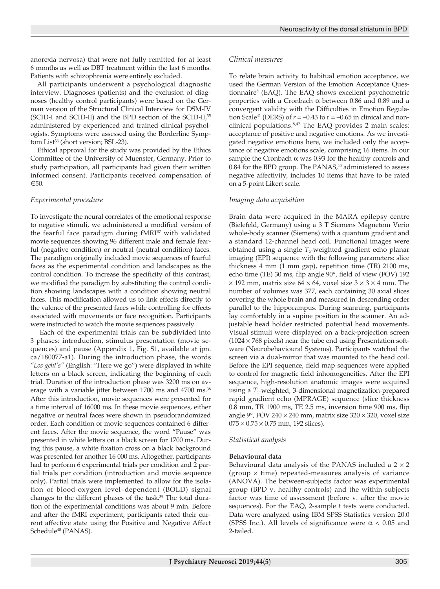anorexia nervosa) that were not fully remitted for at least 6 months as well as DBT treatment within the last 6 months. Patients with schizophrenia were entirely excluded.

All participants underwent a psychological diagnostic interview. Diagnoses (patients) and the exclusion of diagnoses (healthy control participants) were based on the German version of the Structural Clinical Interview for DSM-IV (SCID-I and SCID-II) and the BPD section of the SCID-II,35 administered by experienced and trained clinical psychologists. Symptoms were assessed using the Borderline Symptom List<sup>36</sup> (short version; BSL-23).

Ethical approval for the study was provided by the Ethics Committee of the University of Muenster, Germany. Prior to study participation, all participants had given their written informed consent. Participants received compensation of  $€50$ 

#### *Experimental procedure*

To investigate the neural correlates of the emotional response to negative stimuli, we administered a modified version of the fearful face paradigm during fMRI<sup>37</sup> with validated movie sequences showing 96 different male and female fearful (negative condition) or neutral (neutral condition) faces. The paradigm originally included movie sequences of fearful faces as the experimental condition and landscapes as the control condition. To increase the specificity of this contrast, we modified the paradigm by substituting the control condition showing landscapes with a condition showing neutral faces. This modification allowed us to link effects directly to the valence of the presented faces while controlling for effects associated with movements or face recognition. Participants were instructed to watch the movie sequences passively.

 Each of the experimental trials can be subdivided into 3 phases: introduction, stimulus presentation (movie sequences) and pause (Appendix 1, Fig. S1, available at jpn. ca/180077-a1). During the introduction phase, the words *"Los geht's"* (English: "Here we go") were displayed in white letters on a black screen, indicating the beginning of each trial. Duration of the introduction phase was 3200 ms on average with a variable jitter between 1700 ms and 4700 ms.<sup>38</sup> After this introduction, movie sequences were presented for a time interval of 16000 ms. In these movie sequences, either negative or neutral faces were shown in pseudorandomized order. Each condition of movie sequences contained 6 different faces. After the movie sequence, the word "Pause" was presented in white letters on a black screen for 1700 ms. During this pause, a white fixation cross on a black background was presented for another 16 000 ms. Altogether, participants had to perform 6 experimental trials per condition and 2 partial trials per condition (introduction and movie sequence only). Partial trials were implemented to allow for the isolation of blood-oxygen level–dependent (BOLD) signal changes to the different phases of the task.<sup>39</sup> The total duration of the experimental conditions was about 9 min. Before and after the fMRI experiment, participants rated their current affective state using the Positive and Negative Affect Schedule<sup>40</sup> (PANAS).

#### *Clinical measures*

To relate brain activity to habitual emotion acceptance, we used the German Version of the Emotion Acceptance Questionnaire8 (EAQ). The EAQ shows excellent psychometric properties with a Cronbach α between 0.86 and 0.89 and a convergent validity with the Difficulties in Emotion Regulation Scale<sup>41</sup> (DERS) of  $r = -0.43$  to  $r = -0.65$  in clinical and nonclinical populations.8,42 The EAQ provides 2 main scales: acceptance of positive and negative emotions. As we investigated negative emotions here, we included only the acceptance of negative emotions scale, comprising 16 items. In our sample the Cronbach  $\alpha$  was 0.93 for the healthy controls and  $0.84$  for the BPD group. The PANAS, $40$  administered to assess negative affectivity, includes 10 items that have to be rated on a 5-point Likert scale.

#### *Imaging data acquisition*

Brain data were acquired in the MARA epilepsy centre (Bielefeld, Germany) using a 3 T Siemens Magnetom Verio whole-body scanner (Siemens) with a quantum gradient and a standard 12-channel head coil. Functional images were obtained using a single *T*<sub>2</sub>-weighted gradient echo planar imaging (EPI) sequence with the following parameters: slice thickness 4 mm (1 mm gap), repetition time (TR) 2100 ms, echo time (TE) 30 ms, flip angle 90°, field of view (FOV) 192  $\times$  192 mm, matrix size 64  $\times$  64, voxel size 3  $\times$  3  $\times$  4 mm. The number of volumes was 377, each containing 30 axial slices covering the whole brain and measured in descending order parallel to the hippocampus. During scanning, participants lay comfortably in a supine position in the scanner. An adjustable head holder restricted potential head movements. Visual stimuli were displayed on a back-projection screen  $(1024 \times 768 \text{ pixels})$  near the tube end using Presentation software (Neurobehavioural Systems). Participants watched the screen via a dual-mirror that was mounted to the head coil. Before the EPI sequence, field map sequences were applied to control for magnetic field inhomogeneities. After the EPI sequence, high-resolution anatomic images were acquired using a *T*<sub>1</sub>-weighted, 3-dimensional magnetization-prepared rapid gradient echo (MPRAGE) sequence (slice thickness 0.8 mm, TR 1900 ms, TE 2.5 ms, inversion time 900 ms, flip angle 9°, FOV 240  $\times$  240 mm, matrix size 320  $\times$  320, voxel size  $075 \times 0.75 \times 0.75$  mm, 192 slices).

## *Statistical analysis*

#### **Behavioural data**

Behavioural data analysis of the PANAS included a  $2 \times 2$ (group  $\times$  time) repeated-measures analysis of variance (ANOVA). The between-subjects factor was experimental group (BPD v. healthy controls) and the within-subjects factor was time of assessment (before v. after the movie sequences). For the EAQ, 2-sample *t* tests were conducted. Data were analyzed using IBM SPSS Statistics version 20.0 (SPSS Inc.). All levels of significance were  $\alpha$  < 0.05 and 2-tailed.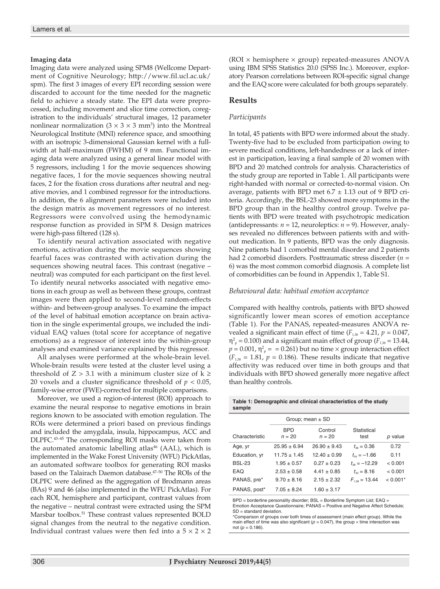#### **Imaging data**

Imaging data were analyzed using SPM8 (Wellcome Department of Cognitive Neurology; http://www.fil.ucl.ac.uk/ spm). The first 3 images of every EPI recording session were discarded to account for the time needed for the magnetic field to achieve a steady state. The EPI data were preprocessed, including movement and slice time correction, coregistration to the individuals' structural images, 12 parameter nonlinear normalization  $(3 \times 3 \times 3 \text{ mm}^3)$  into the Montreal Neurological Institute (MNI) reference space, and smoothing with an isotropic 3-dimensional Gaussian kernel with a fullwidth at half-maximum (FWHM) of 9 mm. Functional imaging data were analyzed using a general linear model with 5 regressors, including 1 for the movie sequences showing negative faces, 1 for the movie sequences showing neutral faces, 2 for the fixation cross durations after neutral and negative movies, and 1 combined regressor for the introductions. In addition, the 6 alignment parameters were included into the design matrix as movement regressors of no interest. Regressors were convolved using the hemodynamic response function as provided in SPM 8. Design matrices were high-pass filtered (128 s).

To identify neural activation associated with negative emotions, activation during the movie sequences showing fearful faces was contrasted with activation during the sequences showing neutral faces. This contrast (negative – neutral) was computed for each participant on the first level. To identify neural networks associated with negative emotions in each group as well as between these groups, contrast images were then applied to second-level random-effects within- and between-group analyses. To examine the impact of the level of habitual emotion acceptance on brain activation in the single experimental groups, we included the individual EAQ values (total score for acceptance of negative emotions) as a regressor of interest into the within-group analyses and examined variance explained by this regressor.

All analyses were performed at the whole-brain level. Whole-brain results were tested at the cluster level using a threshold of  $Z > 3.1$  with a minimum cluster size of  $k \geq$ 20 voxels and a cluster significance threshold of *p* < 0.05, family-wise error (FWE)-corrected for multiple comparisons.

Moreover, we used a region-of-interest (ROI) approach to examine the neural response to negative emotions in brain regions known to be associated with emotion regulation. The ROIs were determined a priori based on previous findings and included the amygdala, insula, hippocampus, ACC and DLPFC.43–45 The corresponding ROI masks were taken from the automated anatomic labelling atlas<sup>46</sup> (AAL), which is implemented in the Wake Forest University (WFU) PickAtlas, an automated software toolbox for generating ROI masks based on the Talairach Daemon database.47–50 The ROIs of the DLPFC were defined as the aggregation of Brodmann areas (BAs) 9 and 46 (also implemented in the WFU PickAtlas). For each ROI, hemisphere and participant, contrast values from the negative – neutral contrast were extracted using the SPM Marsbar toolbox.<sup>51</sup> These contrast values represented BOLD signal changes from the neutral to the negative condition. Individual contrast values were then fed into a  $5 \times 2 \times 2$  (ROI  $\times$  hemisphere  $\times$  group) repeated-measures ANOVA using IBM SPSS Statistics 20.0 (SPSS Inc.). Moreover, exploratory Pearson correlations between ROI-specific signal change and the EAQ score were calculated for both groups separately.

#### **Results**

#### *Participants*

In total, 45 patients with BPD were informed about the study. Twenty-five had to be excluded from participation owing to severe medical conditions, left-handedness or a lack of interest in participation, leaving a final sample of 20 women with BPD and 20 matched controls for analysis. Characteristics of the study group are reported in Table 1. All participants were right-handed with normal or corrected-to-normal vision. On average, patients with BPD met  $6.7 \pm 1.13$  out of 9 BPD criteria. Accordingly, the BSL-23 showed more symptoms in the BPD group than in the healthy control group. Twelve patients with BPD were treated with psychotropic medication (antidepressants: *n* = 12, neuroleptics: *n* = 9). However, analyses revealed no differences between patients with and without medication. In 9 patients, BPD was the only diagnosis. Nine patients had 1 comorbid mental disorder and 2 patients had 2 comorbid disorders. Posttraumatic stress disorder (*n* = 6) was the most common comorbid diagnosis. A complete list of comorbidities can be found in Appendix 1, Table S1.

#### *Behavioural data: habitual emotion acceptance*

Compared with healthy controls, patients with BPD showed significantly lower mean scores of emotion acceptance (Table 1). For the PANAS, repeated-measures ANOVA revealed a significant main effect of time  $(F_{1,38} = 4.21, p = 0.047,$  $\eta_{\text{p}}^2 = 0.100$ ) and a significant main effect of group ( $F_{1,38} = 13.44$ ,  $p = 0.001$ ,  $\eta_{\text{p}}^2 = 0.261$ ) but no time  $\times$  group interaction effect  $(F_{1,38} = 1.81, p = 0.186)$ . These results indicate that negative affectivity was reduced over time in both groups and that individuals with BPD showed generally more negative affect than healthy controls.

| Table 1: Demographic and clinical characteristics of the study |  |  |
|----------------------------------------------------------------|--|--|
| sample                                                         |  |  |
|                                                                |  |  |

|                |                        | Group; mean $\pm$ SD |                           |            |
|----------------|------------------------|----------------------|---------------------------|------------|
| Characteristic | <b>BPD</b><br>$n = 20$ | Control<br>$n = 20$  | Statistical<br>test       | p value    |
| Age, yr        | $25.95 \pm 6.94$       | $26.90 \pm 9.43$     | $t_{\rm ss} = 0.36$       | 0.72       |
| Education, yr  | $11.75 \pm 1.45$       | $12.40 \pm 0.99$     | $t_{34} = -1.66$          | 0.11       |
| <b>BSL-23</b>  | $1.95 \pm 0.57$        | $0.27 \pm 0.23$      | $t_{\rm ss} = -12.29$     | < 0.001    |
| EAQ            | $2.53 \pm 0.58$        | $4.41 \pm 0.85$      | $t_{33} = 8.16$           | < 0.001    |
| PANAS, pre*    | $9.70 \pm 8.16$        | $2.15 \pm 2.32$      | $F_{\text{1,ss}} = 13.44$ | $< 0.001*$ |
| PANAS, post*   | $7.05 \pm 8.24$        | $1.60 \pm 3.17$      |                           |            |

BPD = borderline personality disorder; BSL = Borderline Symptom List; EAQ = Emotion Acceptance Questionnaire; PANAS = Positive and Negative Affect Schedule; SD = standard deviation.

\*Comparison of groups over both times of assessment (main effect group). While the main effect of time was also significant ( $p = 0.047$ ), the group  $\times$  time interaction was not (*p* = 0.186).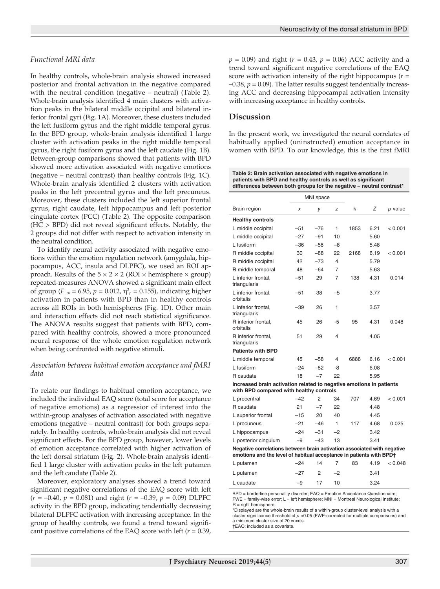#### *Functional MRI data*

In healthy controls, whole-brain analysis showed increased posterior and frontal activation in the negative compared with the neutral condition (negative – neutral) (Table 2). Whole-brain analysis identified 4 main clusters with activation peaks in the bilateral middle occipital and bilateral inferior frontal gyri (Fig. 1A). Moreover, these clusters included the left fusiform gyrus and the right middle temporal gyrus. In the BPD group, whole-brain analysis identified 1 large cluster with activation peaks in the right middle temporal gyrus, the right fusiform gyrus and the left caudate (Fig. 1B). Between-group comparisons showed that patients with BPD showed more activation associated with negative emotions (negative – neutral contrast) than healthy controls (Fig. 1C). Whole-brain analysis identified 2 clusters with activation peaks in the left precentral gyrus and the left precuneus. Moreover, these clusters included the left superior frontal gyrus, right caudate, left hippocampus and left posterior cingulate cortex (PCC) (Table 2). The opposite comparison (HC > BPD) did not reveal significant effects. Notably, the 2 groups did not differ with respect to activation intensity in the neutral condition.

To identify neural activity associated with negative emotions within the emotion regulation network (amygdala, hippocampus, ACC, insula and DLPFC), we used an ROI approach. Results of the  $5 \times 2 \times 2$  (ROI  $\times$  hemisphere  $\times$  group) repeated-measures ANOVA showed a significant main effect of group ( $F_{1,38} = 6.95$ ,  $p = 0.012$ ,  $\eta_{p}^{2} = 0.155$ ), indicating higher activation in patients with BPD than in healthy controls across all ROIs in both hemispheres (Fig. 1D). Other main and interaction effects did not reach statistical significance. The ANOVA results suggest that patients with BPD, compared with healthy controls, showed a more pronounced neural response of the whole emotion regulation network when being confronted with negative stimuli.

#### *Association between habitual emotion acceptance and fMRI data*

To relate our findings to habitual emotion acceptance, we included the individual EAQ score (total score for acceptance of negative emotions) as a regressior of interest into the within-group analyses of activation associated with negative emotions (negative – neutral contrast) for both groups separately. In healthy controls, whole-brain analysis did not reveal significant effects. For the BPD group, however, lower levels of emotion acceptance correlated with higher activation of the left dorsal striatum (Fig. 2). Whole-brain analysis identified 1 large cluster with activation peaks in the left putamen and the left caudate (Table 2).

Moreover, exploratory analyses showed a trend toward significant negative correlations of the EAQ score with left  $(r = -0.40, p = 0.081)$  and right  $(r = -0.39, p = 0.09)$  DLPFC activity in the BPD group, indicating tendentially decreasing bilateral DLPFC activation with increasing acceptance. In the group of healthy controls, we found a trend toward significant positive correlations of the EAQ score with left (*r* = 0.39, *p* = 0.09) and right (*r* = 0.43, *p* = 0.06) ACC activity and a trend toward significant negative correlations of the EAQ score with activation intensity of the right hippocampus (*r* =  $-0.38$ ,  $p = 0.09$ ). The latter results suggest tendentially increasing ACC and decreasing hippocampal activation intensity with increasing acceptance in healthy controls.

#### **Discussion**

In the present work, we investigated the neural correlates of habitually applied (uninstructed) emotion acceptance in women with BPD. To our knowledge, this is the first fMRI

**Table 2: Brain activation associated with negative emotions in patients with BPD and healthy controls as well as significant differences between both groups for the negative – neutral contrast\***

|                                                                                                                                                | MNI space |                |      |      |       |         |  |  |
|------------------------------------------------------------------------------------------------------------------------------------------------|-----------|----------------|------|------|-------|---------|--|--|
| Brain region                                                                                                                                   | x         | V              | z    | k    | Ζ     | p value |  |  |
| <b>Healthy controls</b>                                                                                                                        |           |                |      |      |       |         |  |  |
| L middle occipital                                                                                                                             | $-51$     | $-76$          | 1    | 1853 | 6.21  | < 0.001 |  |  |
| L middle occipital                                                                                                                             | $-27$     | $-91$          | 10   |      | 5.60  |         |  |  |
| L fusiform                                                                                                                                     | $-36$     | $-58$          | $-8$ |      | 548   |         |  |  |
| R middle occipital                                                                                                                             | 30        | $-88$          | 22   | 2168 | 6.19  | < 0.001 |  |  |
| R middle occipital                                                                                                                             | 42        | $-73$          | 4    |      | 5.79  |         |  |  |
| R middle temporal                                                                                                                              | 48        | $-64$          | 7    |      | 5.63  |         |  |  |
| L inferior frontal.<br>triangularis                                                                                                            | $-51$     | 29             | 7    | 138  | 4.31  | 0.014   |  |  |
| L inferior frontal,<br>orbitalis                                                                                                               | $-51$     | 38             | $-5$ |      | 3.77  |         |  |  |
| L inferior frontal.<br>triangularis                                                                                                            | $-39$     | 26             | 1    |      | 3.57  |         |  |  |
| R inferior frontal,<br>orbitalis                                                                                                               | 45        | 26             | -5   | 95   | 4.31  | 0.048   |  |  |
| R inferior frontal,<br>triangularis                                                                                                            | 51        | 29             | 4    |      | 4.05  |         |  |  |
| <b>Patients with BPD</b>                                                                                                                       |           |                |      |      |       |         |  |  |
| L middle temporal                                                                                                                              | 45        | $-58$          | 4    | 6888 | 6.16  | < 0.001 |  |  |
| L fusiform                                                                                                                                     | $-24$     | $-82$          | -8   |      | 6.08  |         |  |  |
| R caudate                                                                                                                                      | 18        | $-7$           | 22   |      | 5.95  |         |  |  |
| Increased brain activation related to negative emotions in patients<br>with BPD compared with healthy controls                                 |           |                |      |      |       |         |  |  |
| L precentral                                                                                                                                   | $-42$     | 2              | 34   | 707  | 4.69  | < 0.001 |  |  |
| R caudate                                                                                                                                      | 21        | $-7$           | 22   |      | 4.48  |         |  |  |
| L superior frontal                                                                                                                             | $-15$     | 20             | 40   |      | 4 4 5 |         |  |  |
| L precuneus                                                                                                                                    | $-21$     | $-46$          | 1    | 117  | 4.68  | 0.025   |  |  |
| L hippocampus                                                                                                                                  | $-24$     | $-31$          | $-2$ |      | 3.42  |         |  |  |
| L posterior cingulum                                                                                                                           | $-9$      | $-43$          | 13   |      | 3.41  |         |  |  |
| Negative correlations between brain activation associated with negative<br>emotions and the level of habitual acceptance in patients with BPD+ |           |                |      |      |       |         |  |  |
| L putamen                                                                                                                                      | $-24$     | 14             | 7    | 83   | 4.19  | < 0.048 |  |  |
| L putamen                                                                                                                                      | $-27$     | $\overline{2}$ | $-2$ |      | 3.41  |         |  |  |
| L caudate                                                                                                                                      | $-9$      | 17             | 10   |      | 3.24  |         |  |  |

BPD = borderline personality disorder; EAQ = Emotion Acceptance Questionnaire; FWE = family-wise error; L = left hemisphere; MNI = Montreal Neurological Institute;  $R =$  right hemisphere.

\*Displayed are the whole-brain results of a within-group cluster-level analysis with a cluster significance threshold of *p* <0.05 (FWE-corrected for multiple comparisons) and a minimum cluster size of 20 voxels.

†EAQ; included as a covariate.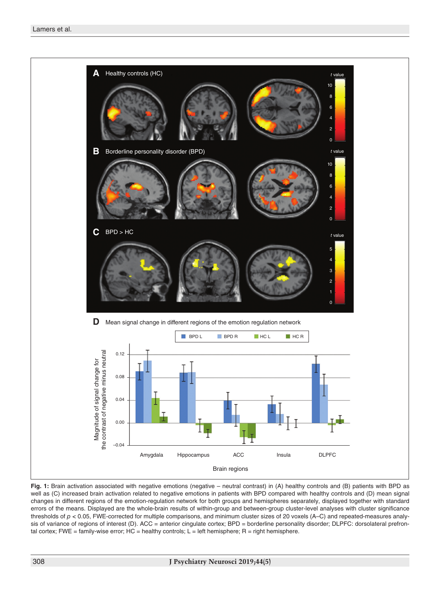

**Fig. 1:** Brain activation associated with negative emotions (negative – neutral contrast) in (A) healthy controls and (B) patients with BPD as well as (C) increased brain activation related to negative emotions in patients with BPD compared with healthy controls and (D) mean signal changes in different regions of the emotion-regulation network for both groups and hemispheres separately, displayed together with standard errors of the means. Displayed are the whole-brain results of within-group and between-group cluster-level analyses with cluster significance thresholds of *p <* 0.05, FWE-corrected for multiple comparisons, and minimum cluster sizes of 20 voxels (A–C) and repeated-measures analysis of variance of regions of interest (D). ACC = anterior cingulate cortex; BPD = borderline personality disorder; DLPFC: dorsolateral prefrontal cortex; FWE = family-wise error; HC = healthy controls;  $L = left$  hemisphere; R = right hemisphere.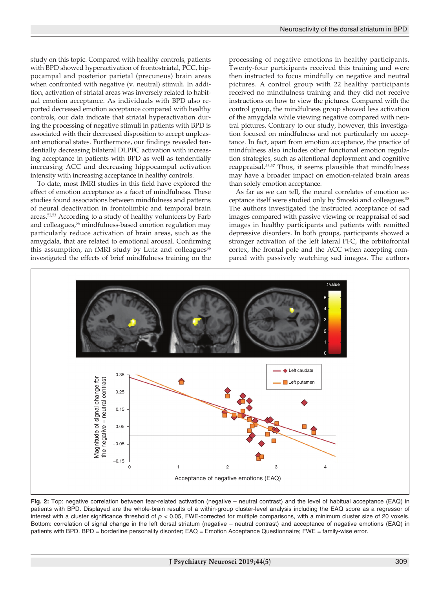study on this topic. Compared with healthy controls, patients with BPD showed hyperactivation of frontostriatal, PCC, hippocampal and posterior parietal (precuneus) brain areas when confronted with negative (v. neutral) stimuli. In addition, activation of striatal areas was inversely related to habitual emotion acceptance. As individuals with BPD also reported decreased emotion acceptance compared with healthy controls, our data indicate that striatal hyperactivation during the processing of negative stimuli in patients with BPD is associated with their decreased disposition to accept unpleasant emotional states. Furthermore, our findings revealed tendentially decreasing bilateral DLPFC activation with increasing acceptance in patients with BPD as well as tendentially increasing ACC and decreasing hippocampal activation intensity with increasing acceptance in healthy controls.

To date, most fMRI studies in this field have explored the effect of emotion acceptance as a facet of mindfulness. These studies found associations between mindfulness and patterns of neural deactivation in frontolimbic and temporal brain areas.<sup>52,53</sup> According to a study of healthy volunteers by Farb and colleagues,<sup>54</sup> mindfulness-based emotion regulation may particularly reduce activation of brain areas, such as the amygdala, that are related to emotional arousal. Confirming this assumption, an fMRI study by Lutz and colleagues<sup>55</sup> investigated the effects of brief mindfulness training on the processing of negative emotions in healthy participants. Twenty-four participants received this training and were then instructed to focus mindfully on negative and neutral pictures. A control group with 22 healthy participants received no mindfulness training and they did not receive instructions on how to view the pictures. Compared with the control group, the mindfulness group showed less activation of the amygdala while viewing negative compared with neutral pictures. Contrary to our study, however, this investigation focused on mindfulness and not particularly on acceptance. In fact, apart from emotion acceptance, the practice of mindfulness also includes other functional emotion regulation strategies, such as attentional deployment and cognitive reappraisal.56,57 Thus, it seems plausible that mindfulness may have a broader impact on emotion-related brain areas than solely emotion acceptance.

As far as we can tell, the neural correlates of emotion acceptance itself were studied only by Smoski and colleagues.<sup>58</sup> The authors investigated the instructed acceptance of sad images compared with passive viewing or reappraisal of sad images in healthy participants and patients with remitted depressive disorders. In both groups, participants showed a stronger activation of the left lateral PFC, the orbitofrontal cortex, the frontal pole and the ACC when accepting compared with passively watching sad images. The authors



**Fig. 2:** Top: negative correlation between fear-related activation (negative – neutral contrast) and the level of habitual acceptance (EAQ) in patients with BPD. Displayed are the whole-brain results of a within-group cluster-level analysis including the EAQ score as a regressor of interest with a cluster significance threshold of *p* < 0.05, FWE-corrected for multiple comparisons, with a minimum cluster size of 20 voxels. Bottom: correlation of signal change in the left dorsal striatum (negative – neutral contrast) and acceptance of negative emotions (EAQ) in patients with BPD. BPD = borderline personality disorder; EAQ = Emotion Acceptance Questionnaire; FWE = family-wise error.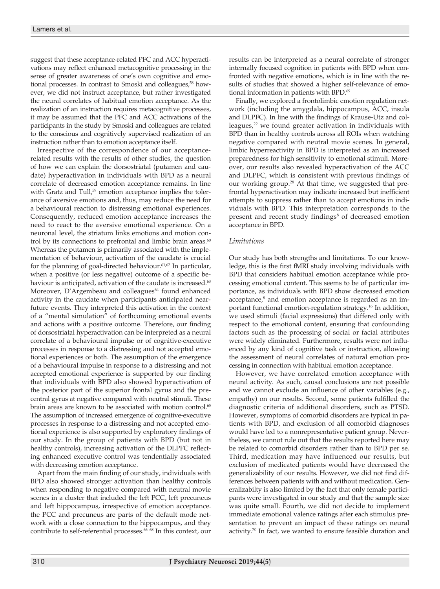suggest that these acceptance-related PFC and ACC hyperactivations may reflect enhanced metacognitive processing in the sense of greater awareness of one's own cognitive and emotional processes. In contrast to Smoski and colleagues,<sup>58</sup> however, we did not instruct acceptance, but rather investigated the neural correlates of habitual emotion acceptance. As the realization of an instruction requires metacognitive processes, it may be assumed that the PFC and ACC activations of the participants in the study by Smoski and colleagues are related to the conscious and cognitively supervised realization of an instruction rather than to emotion acceptance itself.

Irrespective of the correspondence of our acceptancerelated results with the results of other studies, the question of how we can explain the dorsostriatal (putamen and caudate) hyperactivation in individuals with BPD as a neural correlate of decreased emotion acceptance remains. In line with Gratz and Tull,<sup>59</sup> emotion acceptance implies the tolerance of aversive emotions and, thus, may reduce the need for a behavioural reaction to distressing emotional experiences. Consequently, reduced emotion acceptance increases the need to react to the aversive emotional experience. On a neuronal level, the striatum links emotions and motion control by its connections to prefrontal and limbic brain areas. $60$ Whereas the putamen is primarily associated with the implementation of behaviour, activation of the caudate is crucial for the planning of goal-directed behaviour.<sup>61,62</sup> In particular, when a positive (or less negative) outcome of a specific behaviour is anticipated, activation of the caudate is increased.<sup>63</sup> Moreover, D'Argembeau and colleagues<sup>64</sup> found enhanced activity in the caudate when participants anticipated nearfuture events. They interpreted this activation in the context of a "mental simulation" of forthcoming emotional events and actions with a positive outcome. Therefore, our finding of dorsostriatal hyperactivation can be interpreted as a neural correlate of a behavioural impulse or of cognitive-executive processes in response to a distressing and not accepted emotional experiences or both. The assumption of the emergence of a behavioural impulse in response to a distressing and not accepted emotional experience is supported by our finding that individuals with BPD also showed hyperactivation of the posterior part of the superior frontal gyrus and the precentral gyrus at negative compared with neutral stimuli. These brain areas are known to be associated with motion control.<sup>65</sup> The assumption of increased emergence of cognitive-executive processes in response to a distressing and not accepted emotional experience is also supported by exploratory findings of our study. In the group of patients with BPD (but not in healthy controls), increasing activation of the DLPFC reflecting enhanced executive control was tendentially associated with decreasing emotion acceptance.

Apart from the main finding of our study, individuals with BPD also showed stronger activation than healthy controls when responding to negative compared with neutral movie scenes in a cluster that included the left PCC, left precuneus and left hippocampus, irrespective of emotion acceptance. the PCC and precuneus are parts of the default mode network with a close connection to the hippocampus, and they contribute to self-referential processes.<sup>66-68</sup> In this context, our results can be interpreted as a neural correlate of stronger internally focused cognition in patients with BPD when confronted with negative emotions, which is in line with the results of studies that showed a higher self-relevance of emotional information in patients with BPD.<sup>69</sup>

Finally, we explored a frontolimbic emotion regulation network (including the amygdala, hippocampus, ACC, insula and DLPFC). In line with the findings of Krause-Utz and colleagues, $2<sup>2</sup>$  we found greater activation in individuals with BPD than in healthy controls across all ROIs when watching negative compared with neutral movie scenes. In general, limbic hyperreactivity in BPD is interpreted as an increased preparedness for high sensitivity to emotional stimuli. Moreover, our results also revealed hyperactivation of the ACC and DLPFC, which is consistent with previous findings of our working group.28 At that time, we suggested that prefrontal hyperactivation may indicate increased but inefficient attempts to suppress rather than to accept emotions in individuals with BPD. This interpretation corresponds to the present and recent study findings<sup>8</sup> of decreased emotion acceptance in BPD.

#### *Limitations*

Our study has both strengths and limitations. To our knowledge, this is the first fMRI study involving individuals with BPD that considers habitual emotion acceptance while processing emotional content. This seems to be of particular importance, as individuals with BPD show decreased emotion acceptance,<sup>8</sup> and emotion acceptance is regarded as an important functional emotion-regulation strategy.16 In addition, we used stimuli (facial expressions) that differed only with respect to the emotional content, ensuring that confounding factors such as the processing of social or facial attributes were widely eliminated. Furthermore, results were not influenced by any kind of cognitive task or instruction, allowing the assessment of neural correlates of natural emotion processing in connection with habitual emotion acceptance.

However, we have correlated emotion acceptance with neural activity. As such, causal conclusions are not possible and we cannot exclude an influence of other variables (e.g., empathy) on our results. Second, some patients fulfilled the diagnostic criteria of additional disorders, such as PTSD. However, symptoms of comorbid disorders are typical in patients with BPD, and exclusion of all comorbid diagnoses would have led to a nonrepresentative patient group. Nevertheless, we cannot rule out that the results reported here may be related to comorbid disorders rather than to BPD per se. Third, medication may have influenced our results, but exclusion of medicated patients would have decreased the generalizability of our results. However, we did not find differences between patients with and without medication. Generalizabilty is also limited by the fact that only female participants were investigated in our study and that the sample size was quite small. Fourth, we did not decide to implement immediate emotional valence ratings after each stimulus presentation to prevent an impact of these ratings on neural activity.<sup>70</sup> In fact, we wanted to ensure feasible duration and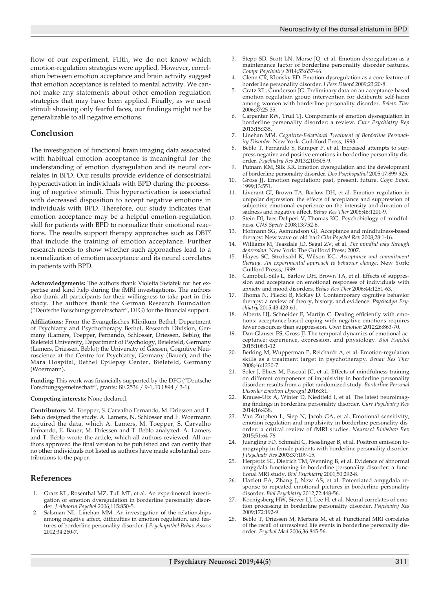flow of our experiment. Fifth, we do not know which emotion-regulation strategies were applied. However, correlation between emotion acceptance and brain activity suggest that emotion acceptance is related to mental activity. We cannot make any statements about other emotion regulation strategies that may have been applied. Finally, as we used stimuli showing only fearful faces, our findings might not be generalizable to all negative emotions.

#### **Conclusion**

The investigation of functional brain imaging data associated with habitual emotion acceptance is meaningful for the understanding of emotion dysregulation and its neural correlates in BPD. Our results provide evidence of dorsostriatal hyperactivation in individuals with BPD during the processing of negative stimuli. This hyperactivation is associated with decreased disposition to accept negative emotions in individuals with BPD. Therefore, our study indicates that emotion acceptance may be a helpful emotion-regulation skill for patients with BPD to normalize their emotional reactions. The results support therapy approaches such as DBT7 that include the training of emotion acceptance. Further research needs to show whether such approaches lead to a normalization of emotion acceptance and its neural correlates in patients with BPD.

**Acknowledgements:** The authors thank Violetta Swiatek for her expertise and kind help during the fMRI investigations. The authors also thank all participants for their willingness to take part in this study. The authors thank the German Research Foundation ("Deutsche Forschungsgemeinschaft", DFG) for the financial support.

**Affiliations:** From the Evangelisches Klinikum Bethel, Department of Psychiatry and Psychotherapy Bethel, Research Division, Germany (Lamers, Toepper, Fernando, Schlosser, Driessen, Beblo); the Bielefeld University, Department of Psychology, Beielefeld, Germany (Lamers, Driessen, Beblo); the University of Giessen, Cognitive Neuroscience at the Centre for Psychiatry, Germany (Bauer); and the Mara Hospital, Bethel Epilepsy Center, Bielefeld, Germany (Woermann).

**Funding:** This work was financially supported by the DFG ("Deutsche Forschungsgemeinschaft", grants: BE 2536 / 9-1, TO 894 / 3-1).

#### **Competing interests:** None declared.

**Contributors:** M. Toepper, S. Carvalho Fernando, M. Driessen and T. Beblo designed the study. A. Lamers, N. Schlosser and F. Woermann acquired the data, which A. Lamers, M. Toepper, S. Carvalho Fernando, E. Bauer, M. Driessen and T. Beblo analyzed. A. Lamers and T. Beblo wrote the article, which all authors reviewed. All authors approved the final version to be published and can certify that no other individuals not listed as authors have made substantial contributions to the paper.

#### **References**

- 1. Gratz KL, Rosenthal MZ, Tull MT, et al. An experimental investigation of emotion dysregulation in borderline personality disorder. *J Abnorm Psychol* 2006;115:850-5.
- Salsman NL, Linehan MM. An investigation of the relationships among negative affect, difficulties in emotion regulation, and features of borderline personality disorder. *J Psychopathol Behav Assess* 2012;34:260-7.
- 3. Stepp SD, Scott LN, Morse JQ, et al. Emotion dysregulation as a maintenance factor of borderline personality disorder features. *Compr Psychiatry* 2014;55:657-66.
- 4. Glenn CR, Klonsky ED. Emotion dysregulation as a core feature of borderline personality disorder. *J Pers Disord* 2009;23:20-8.
- 5. Gratz KL, Gunderson JG. Preliminary data on an acceptance-based emotion regulation group intervention for deliberate self-harm among women with borderline personality disorder. *Behav Ther* 2006;37:25-35.
- 6. Carpenter RW, Trull TJ. Components of emotion dysregulation in borderline personality disorder: a review. *Curr Psychiatry Rep* 2013;15:335.
- 7. Linehan MM. *Cognitive-Behavioral Treatment of Borderline Personality Disorder*. New York: Guildford Press; 1993.
- 8. Beblo T, Fernando S, Kamper P, et al. Increased attempts to suppress negative and positive emotions in borderline personality disorder. *Psychiatry Res* 2013;210:505-9.
- Putnam KM, Silk KR. Emotion dysregulation and the development of borderline personality disorder. *Dev Psychopathol* 2005;17:899-925.
- 10. Gross JJ. Emotion regulation: past, present, future. *Cogn Emot*. 1999;13:551.
- 11. Liverant GI, Brown TA, Barlow DH, et al. Emotion regulation in unipolar depression: the effects of acceptance and suppression of subjective emotional experience on the intensity and duration of sadness and negative affect. *Behav Res Ther* 2008;46:1201-9.
- Stein DJ, Ives-Deliperi V, Thomas KG. Psychobiology of mindfulness. *CNS Spectr* 2008;13:752-6.
- 13. Hofmann SG, Asmundson GJ. Acceptance and mindfulness-based therapy: New wave or old hat? *Clin Psychol Rev* 2008;28:1-16.
- 14. Williams M, Teasdale JD, Segal ZV, et al. *The mindful way through depression*. New York: The Guilford Press; 2007.
- 15. Hayes SC, Strohsahl K, Wilson KG. *Acceptance and commitment therapy. An experimental approach to behavior change*. New York: Guilford Presss; 1999.
- 16. Campbell-Sills L, Barlow DH, Brown TA, et al. Effects of suppression and acceptance on emotional responses of individuals with anxiety and mood disorders. *Behav Res Ther* 2006;44:1251-63.
- 17. Thoma N, Pilecki B, McKay D. Contemporary cognitive behavior therapy: a review of theory, history, and evidence. *Psychodyn Psychiatry* 2015;43:423-61.
- Alberts HJ, Schneider F, Martijn C. Dealing efficiently with emotions: acceptance-based coping with negative emotions requires fewer resources than suppression. *Cogn Emotion* 2012;26:863-70.
- Dan-Glauser ES, Gross JJ. The temporal dynamics of emotional acceptance: experience, expression, and physiology. *Biol Psychol* 2015;108:1-12.
- 20. Berking M, Wupperman P, Reichardt A, et al. Emotion-regulation skills as a treatment target in psychotherapy. *Behav Res Ther* 2008;46:1230-7.
- 21. Soler J, Elices M, Pascual JC, et al. Effects of mindfulness training on different components of impulsivity in borderline personality disorder: results from a pilot randomized study. *Borderline Personal Disorder Emotion Dysregul* 2016;3:1.
- 22. Krause-Utz A, Winter D, Niedtfeld I, et al. The latest neuroimaging findings in borderline personality disorder. *Curr Psychiatry Rep* 2014;16:438.
- 23. Van Zutphen L, Siep N, Jacob GA, et al. Emotional sensitivity, emotion regulation and impulsivity in borderline personality disorder: a critical review of fMRI studies. *Neurosci Biobehav Rev* 2015;51:64-76.
- 24. Juengling FD, Schmahl C, Hesslinger B, et al. Positron emission tomography in female patients with borderline personality disorder. *J Psychiatr Res* 2003;37:109-15.
- Herpertz SC, Dietrich TM, Wenning B, et al. Evidence of abnormal amygdala functioning in borderline personality disorder: a functional MRI study. *Biol Psychiatry* 2001;50:292-8.
- 26. Hazlett EA, Zhang J, New AS, et al. Potentiated amygdala response to repeated emotional pictures in borderline personality disorder. *Biol Psychiatry* 2012;72:448-56.
- 27. Koenigsberg HW, Siever LJ, Lee H, et al. Neural correlates of emotion processing in borderline personality disorder. *Psychiatry Res* 2009;172:192-9.
- 28. Beblo T, Driessen M, Mertens M, et al. Functional MRI correlates of the recall of unresolved life events in borderline personality disorder. *Psychol Med* 2006;36:845-56.